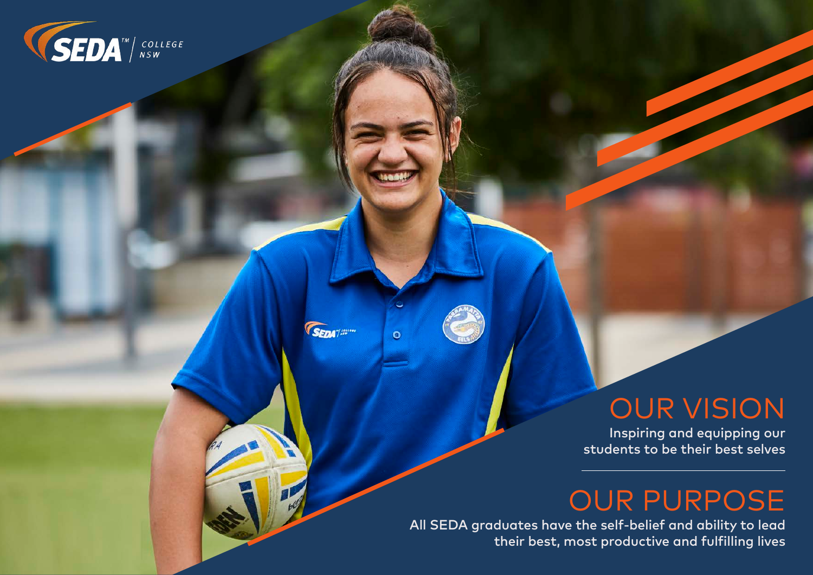

**SEDATISSION** 

 $\bullet$ 

# OUR VISION

Inspiring and equipping our students to be their best selves

# OUR PURPOSE

All SEDA graduates have the self-belief and ability to lead their best, most productive and fulfilling lives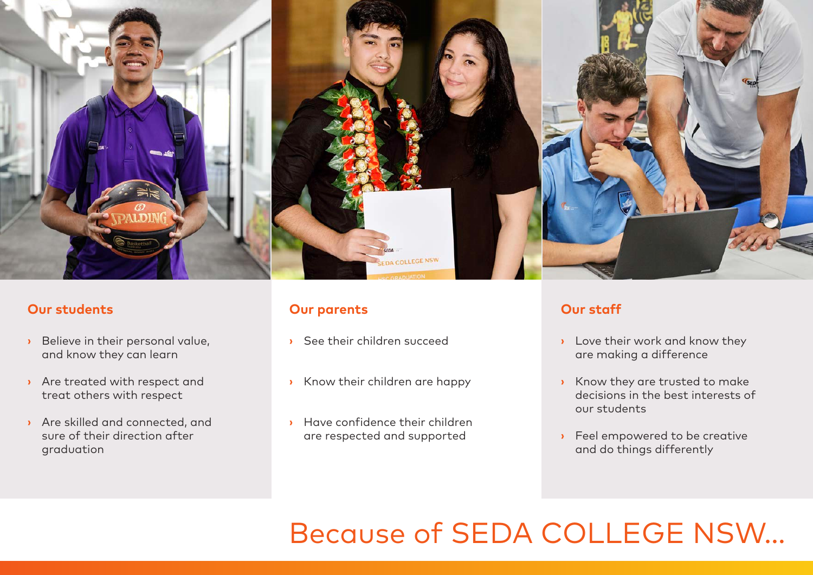

# **Our students**

- **›** Believe in their personal value, and know they can learn
- **›** Are treated with respect and treat others with respect
- **›** Are skilled and connected, and sure of their direction after graduation

# **Our parents**

- **›** See their children succeed
- **›** Know their children are happy
- **›** Have confidence their children are respected and supported

# **Our staff**

- **›** Love their work and know they are making a difference
- **›** Know they are trusted to make decisions in the best interests of our students
- **›** Feel empowered to be creative and do things differently

# Because of SEDA COLLEGE NSW...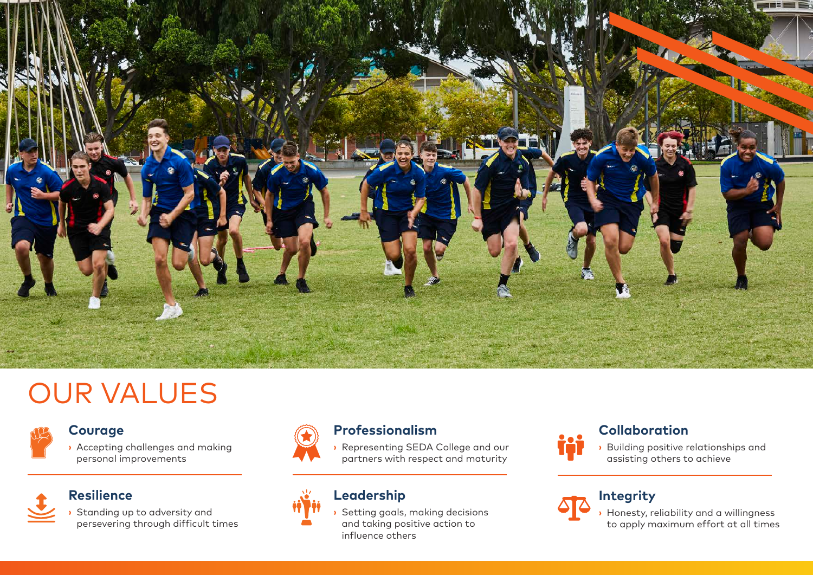

# OUR VALUES



# **Courage**

**›** Accepting challenges and making personal improvements



# **Resilience**

**›** Standing up to adversity and persevering through difficult times



# **Professionalism**

**›** Representing SEDA College and our partners with respect and maturity

# **Leadership**

**›** Setting goals, making decisions and taking positive action to influence others



# **Collaboration**

**›** Building positive relationships and assisting others to achieve



**›** Honesty, reliability and a willingness to apply maximum effort at all times